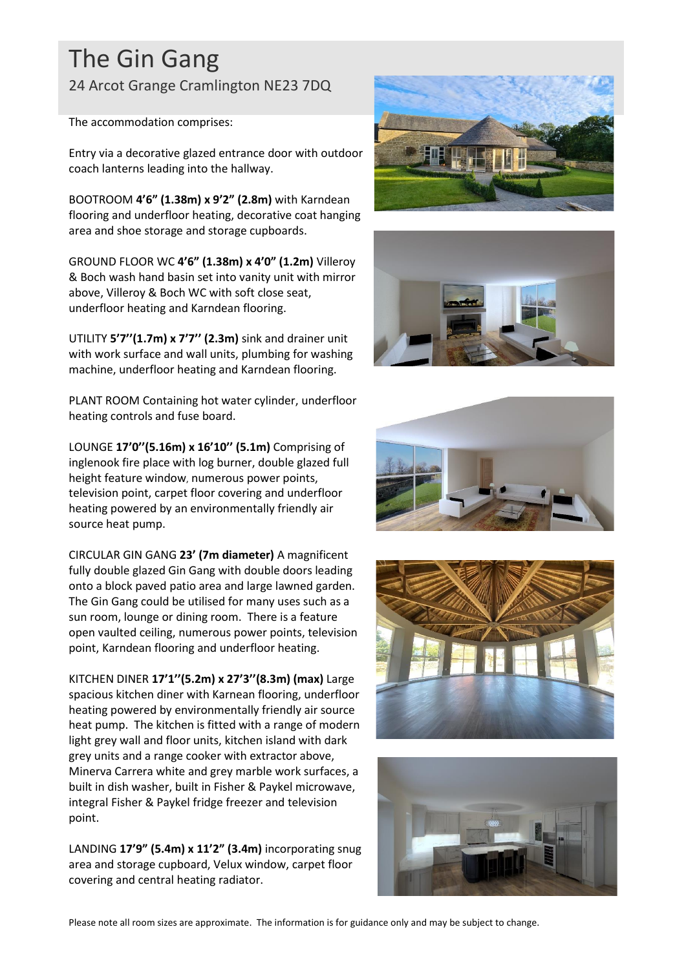## The Gin Gang

24 Arcot Grange Cramlington NE23 7DQ

The accommodation comprises:

Entry via a decorative glazed entrance door with outdoor coach lanterns leading into the hallway.

BOOTROOM **4'6" (1.38m) x 9'2" (2.8m)** with Karndean flooring and underfloor heating, decorative coat hanging area and shoe storage and storage cupboards.

GROUND FLOOR WC **4'6" (1.38m) x 4'0" (1.2m)** Villeroy & Boch wash hand basin set into vanity unit with mirror above, Villeroy & Boch WC with soft close seat, underfloor heating and Karndean flooring.

UTILITY **5'7''(1.7m) x 7'7'' (2.3m)** sink and drainer unit with work surface and wall units, plumbing for washing machine, underfloor heating and Karndean flooring.

PLANT ROOM Containing hot water cylinder, underfloor heating controls and fuse board.

LOUNGE **17'0''(5.16m) x 16'10'' (5.1m)** Comprising of inglenook fire place with log burner, double glazed full height feature window, numerous power points, television point, carpet floor covering and underfloor heating powered by an environmentally friendly air source heat pump.

CIRCULAR GIN GANG **23' (7m diameter)** A magnificent fully double glazed Gin Gang with double doors leading onto a block paved patio area and large lawned garden. The Gin Gang could be utilised for many uses such as a sun room, lounge or dining room. There is a feature open vaulted ceiling, numerous power points, television point, Karndean flooring and underfloor heating.

KITCHEN DINER **17'1''(5.2m) x 27'3''(8.3m) (max)** Large spacious kitchen diner with Karnean flooring, underfloor heating powered by environmentally friendly air source heat pump. The kitchen is fitted with a range of modern light grey wall and floor units, kitchen island with dark grey units and a range cooker with extractor above, Minerva Carrera white and grey marble work surfaces, a built in dish washer, built in Fisher & Paykel microwave, integral Fisher & Paykel fridge freezer and television point.

LANDING **17'9" (5.4m) x 11'2" (3.4m)** incorporating snug area and storage cupboard, Velux window, carpet floor covering and central heating radiator.